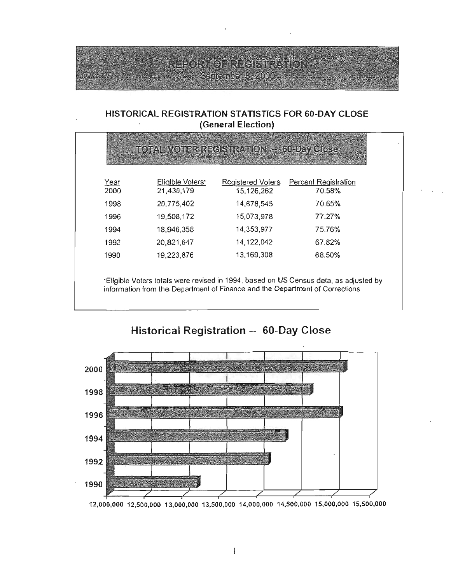## Report of Recisinviator September 3, 2000.

### HISTORICAL REGISTRATION STATISTICS FOR 50-DAY CLOSE (General Election)

| Year<br>2000 | Eligible Voters*<br>21,430,179 | <b>Registered Volers</b><br>15,126,262 | Percent Registration<br>70.58% |
|--------------|--------------------------------|----------------------------------------|--------------------------------|
| 1998         | 20,775,402                     | 14,678,545                             | 70.65%                         |
| 1996         | 19,508,172                     | 15,073,978                             | 77.27%                         |
| 1994         | 18,946,358                     | 14,353,977                             | 75.76%                         |
| 1992         | 20,821,647                     | 14, 122, 042                           | 67.82%                         |
| 1990         | 19,223,876                     | 13,169,308                             | 68.50%                         |



# Historical Registration -- SO-Day Close

12,000,000 12,500,000 13,000,000 13,500,000 14,000,000 14,500,000 15,000,000 15,500,000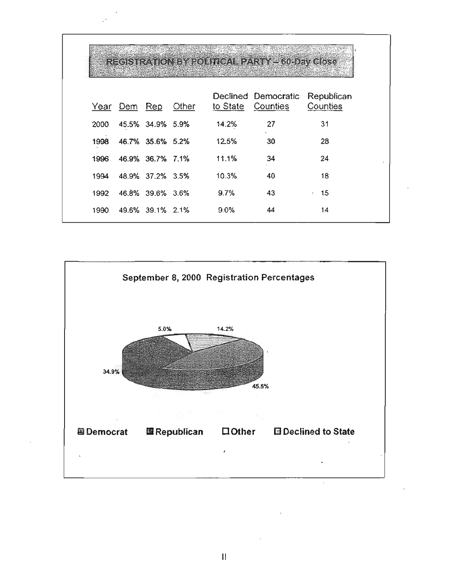|      |              |                       |       |       | REGISTRATION BY ROLLING ALL PARTY STOLEN Glose      |                                 |
|------|--------------|-----------------------|-------|-------|-----------------------------------------------------|---------------------------------|
|      | Year Dem Rep |                       | Other |       | Declined Democratic Republican<br>to State Counties | Counties                        |
| 2000 |              | 45.5% 34.9% 5.9%      |       | 14.2% | 27                                                  | 31                              |
| 1998 |              | 46,7% 35.6% 5.2%      |       | 12.5% | 30                                                  | 28                              |
| 1996 |              | 46.9% 36.7% 7.1%      |       | 11.1% | 34                                                  | 24                              |
| 1994 |              | 48.9% 37.2% 3.5%      |       | 10.3% | 40                                                  | 18                              |
| 1992 |              | 46.8% 39.6% 3.6%      |       | 9.7%  | 43                                                  | 15<br>$\mathbf{r} = \mathbf{r}$ |
|      |              | 1990 49.6% 39.1% 2.1% |       | 9.0%  | 44                                                  | 14                              |

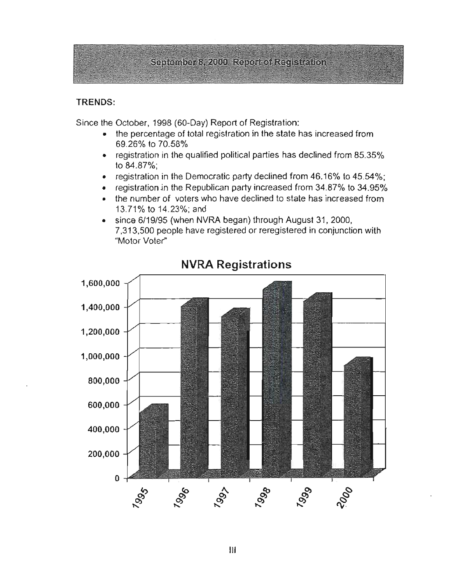## September 8, 2000 Report of Registration

#### **TRENDS:**

Since the October, 1998 (60-Day) Report of Registration:

- the percentage of total registration in the state has increased from 69.26% to 70.58%
- $\bullet$  registration in the qualified political parties has declined from 85.35% to 84.87%;
- registration in the Democratic party declined from  $46.16\%$  to  $45.54\%$ ;
- registration in the Republican party increased from 34.87% to 34.95%
- the number of voters who have declined to state has increased from 13.71% to 14.23%; and
- since 6/19/95 (when NVRA began) through August 31, 2000, 7,313,500 people have registered or reregistered in conjunction with "Motor Voter"



## **NVRA Registrations**